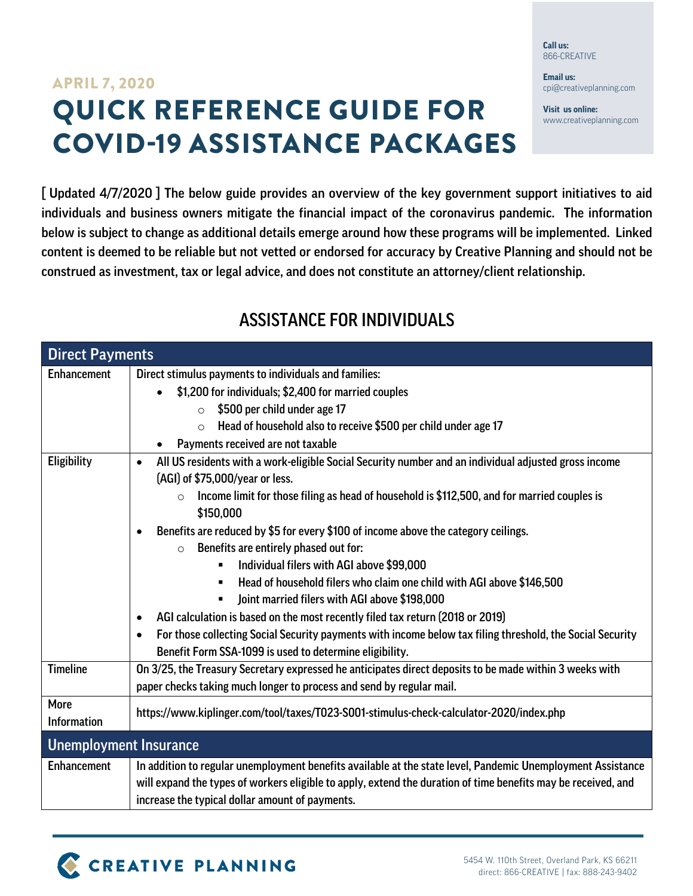## QUICK REFERENCE GUIDE FOR COVID-19 ASSISTANCE PACKAGES APRIL 7, 2020

[Updated 4/7/2020] The below guide provides an overview of the key government support initiatives to aid individuals and business owners mitigate the financial impact of the coronavirus pandemic. The information below is subject to change as additional details emerge around how these programs will be implemented. Linked content is deemed to be reliable but not vetted or endorsed for accuracy by Creative Planning and should not be construed as investment, tax or legal advice, and does not constitute an attorney/client relationship.

## ASSISTANCE FOR INDIVIDUALS

| <b>Direct Payments</b>        |                                                                                                                                                                                 |
|-------------------------------|---------------------------------------------------------------------------------------------------------------------------------------------------------------------------------|
| <b>Enhancement</b>            | Direct stimulus payments to individuals and families:                                                                                                                           |
|                               | \$1,200 for individuals; \$2,400 for married couples                                                                                                                            |
|                               | \$500 per child under age 17<br>$\circ$                                                                                                                                         |
|                               | Head of household also to receive \$500 per child under age 17<br>$\circ$                                                                                                       |
|                               | Payments received are not taxable                                                                                                                                               |
| <b>Eligibility</b>            | All US residents with a work-eligible Social Security number and an individual adjusted gross income<br>$\bullet$<br>(AGI) of \$75,000/year or less.                            |
|                               | Income limit for those filing as head of household is \$112,500, and for married couples is<br>$\circ$<br>\$150,000                                                             |
|                               | Benefits are reduced by \$5 for every \$100 of income above the category ceilings.                                                                                              |
|                               | Benefits are entirely phased out for:<br>$\bigcap$                                                                                                                              |
|                               | Individual filers with AGI above \$99,000                                                                                                                                       |
|                               | Head of household filers who claim one child with AGI above \$146,500<br>$\blacksquare$                                                                                         |
|                               | Joint married filers with AGI above \$198,000                                                                                                                                   |
|                               | AGI calculation is based on the most recently filed tax return (2018 or 2019)                                                                                                   |
|                               | For those collecting Social Security payments with income below tax filing threshold, the Social Security                                                                       |
|                               | Benefit Form SSA-1099 is used to determine eligibility.                                                                                                                         |
| <b>Timeline</b>               | On 3/25, the Treasury Secretary expressed he anticipates direct deposits to be made within 3 weeks with<br>paper checks taking much longer to process and send by regular mail. |
| More<br><b>Information</b>    | https://www.kiplinger.com/tool/taxes/T023-S001-stimulus-check-calculator-2020/index.php                                                                                         |
| <b>Unemployment Insurance</b> |                                                                                                                                                                                 |
| <b>Enhancement</b>            | In addition to regular unemployment benefits available at the state level, Pandemic Unemployment Assistance                                                                     |
|                               | will expand the types of workers eligible to apply, extend the duration of time benefits may be received, and                                                                   |
|                               | increase the typical dollar amount of payments.                                                                                                                                 |



**Call us:** 866-CREATIVE

**Email us:** cpi@creativeplanning.com

**Visit us online:** www.creativeplanning.com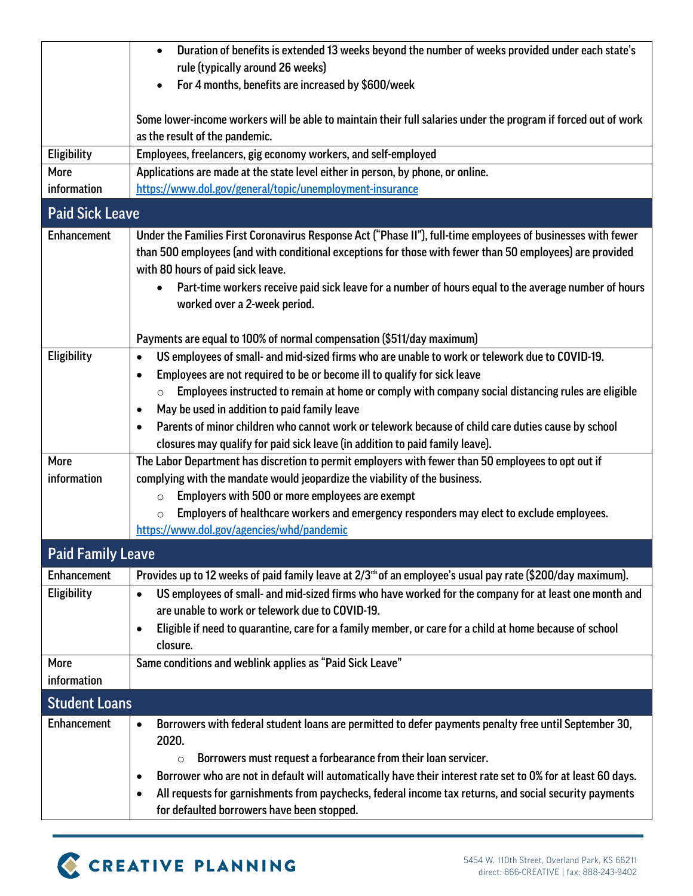|                          | Duration of benefits is extended 13 weeks beyond the number of weeks provided under each state's<br>$\bullet$                                     |  |
|--------------------------|---------------------------------------------------------------------------------------------------------------------------------------------------|--|
|                          | rule (typically around 26 weeks)                                                                                                                  |  |
|                          | For 4 months, benefits are increased by \$600/week<br>$\bullet$                                                                                   |  |
|                          | Some lower-income workers will be able to maintain their full salaries under the program if forced out of work                                    |  |
|                          | as the result of the pandemic.                                                                                                                    |  |
| Eligibility              | Employees, freelancers, gig economy workers, and self-employed                                                                                    |  |
| More                     | Applications are made at the state level either in person, by phone, or online.                                                                   |  |
| information              | https://www.dol.gov/general/topic/unemployment-insurance                                                                                          |  |
| <b>Paid Sick Leave</b>   |                                                                                                                                                   |  |
| <b>Enhancement</b>       | Under the Families First Coronavirus Response Act ("Phase II"), full-time employees of businesses with fewer                                      |  |
|                          | than 500 employees (and with conditional exceptions for those with fewer than 50 employees) are provided                                          |  |
|                          | with 80 hours of paid sick leave.                                                                                                                 |  |
|                          | Part-time workers receive paid sick leave for a number of hours equal to the average number of hours<br>$\bullet$<br>worked over a 2-week period. |  |
|                          | Payments are equal to 100% of normal compensation (\$511/day maximum)                                                                             |  |
| Eligibility              | US employees of small- and mid-sized firms who are unable to work or telework due to COVID-19.<br>$\bullet$                                       |  |
|                          | Employees are not required to be or become ill to qualify for sick leave                                                                          |  |
|                          | Employees instructed to remain at home or comply with company social distancing rules are eligible<br>$\circ$                                     |  |
|                          | May be used in addition to paid family leave<br>$\bullet$                                                                                         |  |
|                          | Parents of minor children who cannot work or telework because of child care duties cause by school                                                |  |
|                          | closures may qualify for paid sick leave (in addition to paid family leave).                                                                      |  |
| More                     | The Labor Department has discretion to permit employers with fewer than 50 employees to opt out if                                                |  |
| information              | complying with the mandate would jeopardize the viability of the business.                                                                        |  |
|                          | Employers with 500 or more employees are exempt<br>$\circ$                                                                                        |  |
|                          | Employers of healthcare workers and emergency responders may elect to exclude employees.<br>$\circ$                                               |  |
|                          | https://www.dol.gov/agencies/whd/pandemic                                                                                                         |  |
| <b>Paid Family Leave</b> |                                                                                                                                                   |  |
| <b>Enhancement</b>       | Provides up to 12 weeks of paid family leave at 2/3 <sup>rds</sup> of an employee's usual pay rate (\$200/day maximum).                           |  |
| Eligibility              | US employees of small- and mid-sized firms who have worked for the company for at least one month and<br>$\bullet$                                |  |
|                          | are unable to work or telework due to COVID-19.                                                                                                   |  |
|                          | Eligible if need to quarantine, care for a family member, or care for a child at home because of school<br>$\bullet$                              |  |
|                          | closure.                                                                                                                                          |  |
| More                     | Same conditions and weblink applies as "Paid Sick Leave"                                                                                          |  |
| information              |                                                                                                                                                   |  |
| <b>Student Loans</b>     |                                                                                                                                                   |  |
| <b>Enhancement</b>       | Borrowers with federal student loans are permitted to defer payments penalty free until September 30,<br>$\bullet$                                |  |
|                          | 2020.                                                                                                                                             |  |
|                          | Borrowers must request a forbearance from their loan servicer.<br>$\circ$                                                                         |  |
|                          | Borrower who are not in default will automatically have their interest rate set to 0% for at least 60 days.<br>$\bullet$                          |  |
|                          | All requests for garnishments from paychecks, federal income tax returns, and social security payments<br>$\bullet$                               |  |
|                          | for defaulted borrowers have been stopped.                                                                                                        |  |

# C CREATIVE PLANNING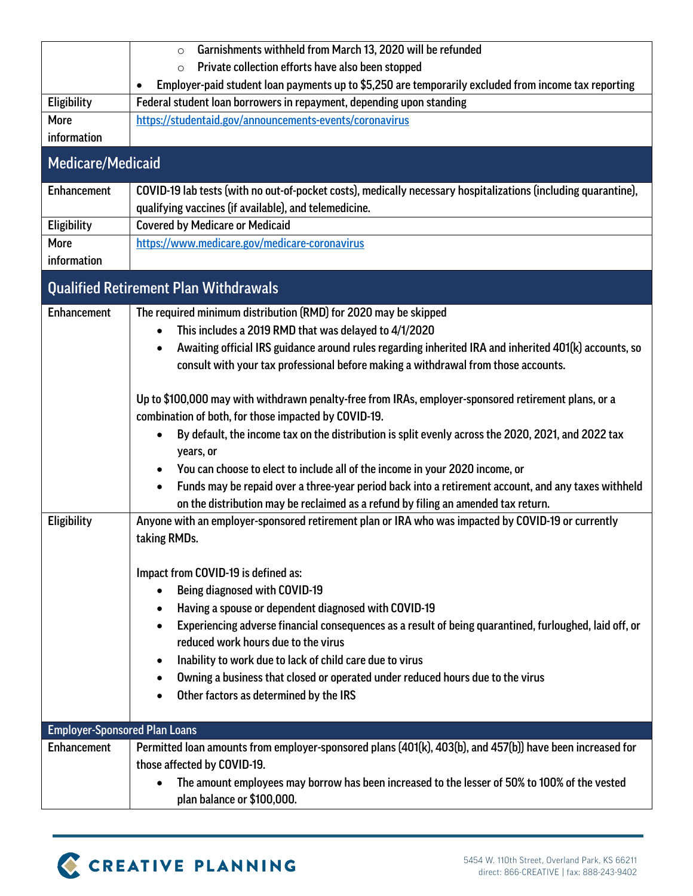|                                      | Garnishments withheld from March 13, 2020 will be refunded<br>$\circ$                                              |  |
|--------------------------------------|--------------------------------------------------------------------------------------------------------------------|--|
|                                      | Private collection efforts have also been stopped<br>$\circ$                                                       |  |
|                                      | Employer-paid student loan payments up to \$5,250 are temporarily excluded from income tax reporting               |  |
| Eligibility                          | Federal student loan borrowers in repayment, depending upon standing                                               |  |
| More                                 | https://studentaid.gov/announcements-events/coronavirus                                                            |  |
| information                          |                                                                                                                    |  |
| <b>Medicare/Medicaid</b>             |                                                                                                                    |  |
| <b>Enhancement</b>                   | COVID-19 lab tests (with no out-of-pocket costs), medically necessary hospitalizations (including quarantine),     |  |
|                                      | qualifying vaccines (if available), and telemedicine.                                                              |  |
| Eligibility                          | <b>Covered by Medicare or Medicaid</b>                                                                             |  |
| More                                 | https://www.medicare.gov/medicare-coronavirus                                                                      |  |
| information                          |                                                                                                                    |  |
|                                      | <b>Qualified Retirement Plan Withdrawals</b>                                                                       |  |
| <b>Enhancement</b>                   | The required minimum distribution (RMD) for 2020 may be skipped                                                    |  |
|                                      | This includes a 2019 RMD that was delayed to 4/1/2020<br>$\bullet$                                                 |  |
|                                      | Awaiting official IRS guidance around rules regarding inherited IRA and inherited 401(k) accounts, so<br>$\bullet$ |  |
|                                      | consult with your tax professional before making a withdrawal from those accounts.                                 |  |
|                                      |                                                                                                                    |  |
|                                      | Up to \$100,000 may with withdrawn penalty-free from IRAs, employer-sponsored retirement plans, or a               |  |
|                                      | combination of both, for those impacted by COVID-19.                                                               |  |
|                                      | By default, the income tax on the distribution is split evenly across the 2020, 2021, and 2022 tax<br>$\bullet$    |  |
|                                      | years, or                                                                                                          |  |
|                                      | You can choose to elect to include all of the income in your 2020 income, or                                       |  |
|                                      | Funds may be repaid over a three-year period back into a retirement account, and any taxes withheld<br>$\bullet$   |  |
|                                      | on the distribution may be reclaimed as a refund by filing an amended tax return.                                  |  |
| Eligibility                          | Anyone with an employer-sponsored retirement plan or IRA who was impacted by COVID-19 or currently                 |  |
|                                      | taking RMDs.                                                                                                       |  |
|                                      |                                                                                                                    |  |
|                                      | Impact from COVID-19 is defined as:                                                                                |  |
|                                      | <b>Being diagnosed with COVID-19</b><br>$\bullet$                                                                  |  |
|                                      | Having a spouse or dependent diagnosed with COVID-19                                                               |  |
|                                      | Experiencing adverse financial consequences as a result of being quarantined, furloughed, laid off, or             |  |
|                                      | reduced work hours due to the virus                                                                                |  |
|                                      | Inability to work due to lack of child care due to virus<br>٠                                                      |  |
|                                      | Owning a business that closed or operated under reduced hours due to the virus<br>٠                                |  |
|                                      | Other factors as determined by the IRS                                                                             |  |
|                                      |                                                                                                                    |  |
| <b>Employer-Sponsored Plan Loans</b> |                                                                                                                    |  |
| <b>Enhancement</b>                   | Permitted Ioan amounts from employer-sponsored plans (401(k), 403(b), and 457(b)) have been increased for          |  |
|                                      | those affected by COVID-19.                                                                                        |  |
|                                      | The amount employees may borrow has been increased to the lesser of 50% to 100% of the vested<br>$\bullet$         |  |
|                                      | plan balance or \$100,000.                                                                                         |  |

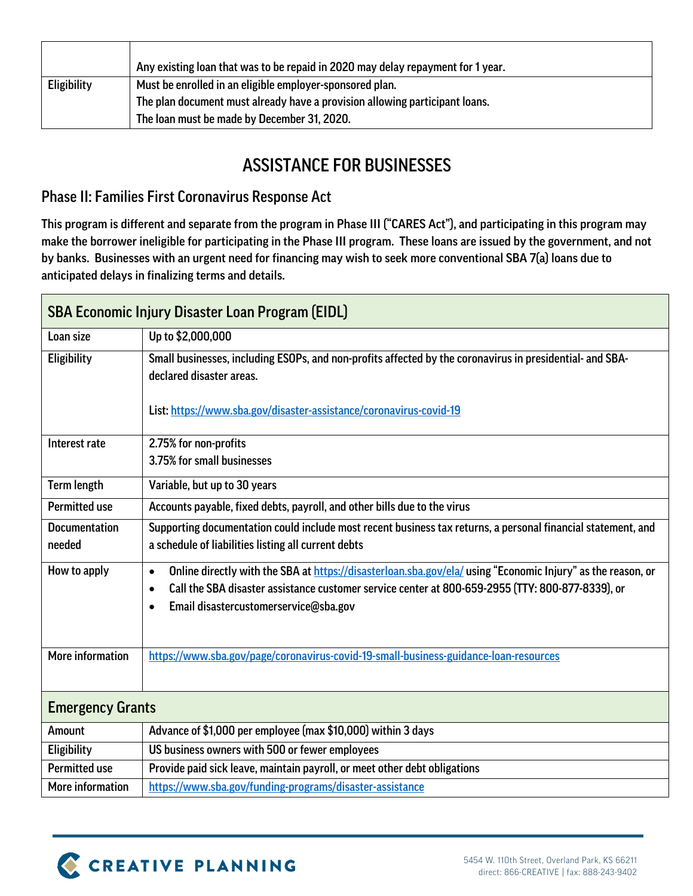|                    | Any existing loan that was to be repaid in 2020 may delay repayment for 1 year. |
|--------------------|---------------------------------------------------------------------------------|
| <b>Eligibility</b> | Must be enrolled in an eligible employer-sponsored plan.                        |
|                    | The plan document must already have a provision allowing participant loans.     |
|                    | The loan must be made by December 31, 2020.                                     |

### ASSISTANCE FOR BUSINESSES

#### Phase II: Families First Coronavirus Response Act

This program is different and separate from the program in Phase III ("CARES Act"), and participating in this program may make the borrower ineligible for participating in the Phase III program. These loans are issued by the government, and not by banks. Businesses with an urgent need for financing may wish to seek more conventional SBA 7(a) loans due to anticipated delays in finalizing terms and details.

| <b>SBA Economic Injury Disaster Loan Program (EIDL)</b> |                                                                                                                                                                                                                                                                                                 |  |
|---------------------------------------------------------|-------------------------------------------------------------------------------------------------------------------------------------------------------------------------------------------------------------------------------------------------------------------------------------------------|--|
| Loan size                                               | Up to \$2,000,000                                                                                                                                                                                                                                                                               |  |
| Eligibility                                             | Small businesses, including ESOPs, and non-profits affected by the coronavirus in presidential- and SBA-<br>declared disaster areas.<br>List: https://www.sba.gov/disaster-assistance/coronavirus-covid-19                                                                                      |  |
| Interest rate                                           | 2.75% for non-profits                                                                                                                                                                                                                                                                           |  |
|                                                         | 3.75% for small businesses                                                                                                                                                                                                                                                                      |  |
| <b>Term length</b>                                      | Variable, but up to 30 years                                                                                                                                                                                                                                                                    |  |
| <b>Permitted use</b>                                    | Accounts payable, fixed debts, payroll, and other bills due to the virus                                                                                                                                                                                                                        |  |
| <b>Documentation</b><br>needed                          | Supporting documentation could include most recent business tax returns, a personal financial statement, and<br>a schedule of liabilities listing all current debts                                                                                                                             |  |
| How to apply                                            | Online directly with the SBA at https://disasterloan.sba.gov/ela/ using "Economic Injury" as the reason, or<br>$\bullet$<br>Call the SBA disaster assistance customer service center at 800-659-2955 (TTY: 800-877-8339), or<br>$\bullet$<br>Email disastercustomerservice@sba.gov<br>$\bullet$ |  |
| More information                                        | https://www.sba.gov/page/coronavirus-covid-19-small-business-guidance-loan-resources                                                                                                                                                                                                            |  |
| <b>Emergency Grants</b>                                 |                                                                                                                                                                                                                                                                                                 |  |
| Amount                                                  | Advance of \$1,000 per employee (max \$10,000) within 3 days                                                                                                                                                                                                                                    |  |
| Eligibility                                             | US business owners with 500 or fewer employees                                                                                                                                                                                                                                                  |  |
| <b>Permitted use</b>                                    | Provide paid sick leave, maintain payroll, or meet other debt obligations                                                                                                                                                                                                                       |  |
| More information                                        | https://www.sba.gov/funding-programs/disaster-assistance                                                                                                                                                                                                                                        |  |

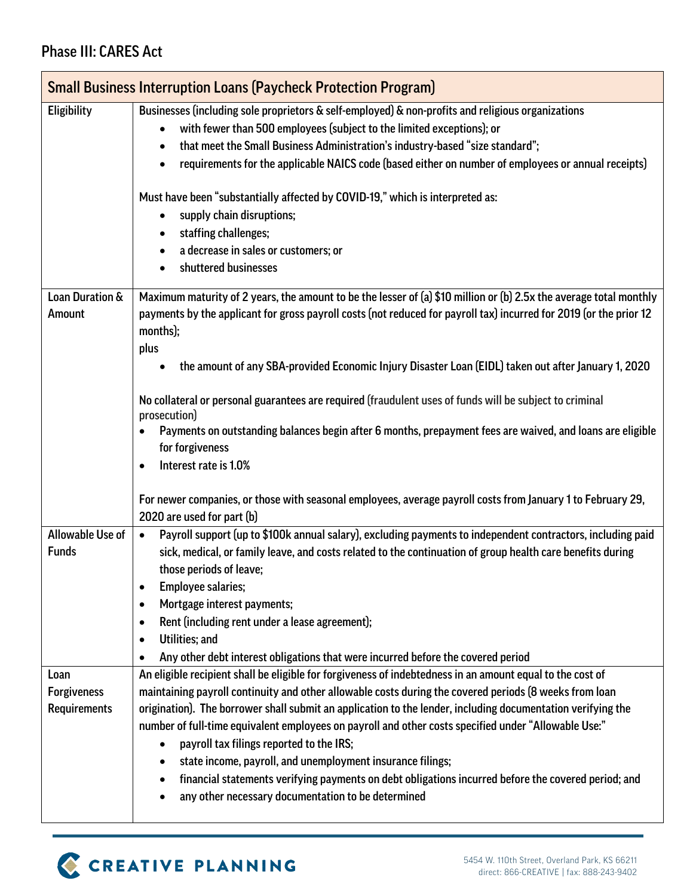#### Phase III: CARES Act

|                           | <b>Small Business Interruption Loans (Paycheck Protection Program)</b>                                                                                                                                                                                       |  |
|---------------------------|--------------------------------------------------------------------------------------------------------------------------------------------------------------------------------------------------------------------------------------------------------------|--|
| Eligibility               | Businesses (including sole proprietors & self-employed) & non-profits and religious organizations                                                                                                                                                            |  |
|                           | with fewer than 500 employees (subject to the limited exceptions); or<br>٠                                                                                                                                                                                   |  |
|                           | that meet the Small Business Administration's industry-based "size standard";<br>$\bullet$                                                                                                                                                                   |  |
|                           | requirements for the applicable NAICS code (based either on number of employees or annual receipts)<br>$\bullet$                                                                                                                                             |  |
|                           | Must have been "substantially affected by COVID-19," which is interpreted as:<br>supply chain disruptions;<br>$\bullet$                                                                                                                                      |  |
|                           | staffing challenges;                                                                                                                                                                                                                                         |  |
|                           | a decrease in sales or customers; or                                                                                                                                                                                                                         |  |
|                           | shuttered businesses                                                                                                                                                                                                                                         |  |
| Loan Duration &<br>Amount | Maximum maturity of 2 years, the amount to be the lesser of (a) \$10 million or (b) 2.5x the average total monthly<br>payments by the applicant for gross payroll costs (not reduced for payroll tax) incurred for 2019 (or the prior 12<br>months);<br>plus |  |
|                           | the amount of any SBA-provided Economic Injury Disaster Loan (EIDL) taken out after January 1, 2020                                                                                                                                                          |  |
|                           | No collateral or personal guarantees are required (fraudulent uses of funds will be subject to criminal<br>prosecution)                                                                                                                                      |  |
|                           | Payments on outstanding balances begin after 6 months, prepayment fees are waived, and loans are eligible                                                                                                                                                    |  |
|                           | for forgiveness                                                                                                                                                                                                                                              |  |
|                           | Interest rate is 1.0%                                                                                                                                                                                                                                        |  |
|                           |                                                                                                                                                                                                                                                              |  |
|                           | For newer companies, or those with seasonal employees, average payroll costs from January 1 to February 29,<br>2020 are used for part (b)                                                                                                                    |  |
| Allowable Use of          | Payroll support (up to \$100k annual salary), excluding payments to independent contractors, including paid<br>$\bullet$                                                                                                                                     |  |
| <b>Funds</b>              | sick, medical, or family leave, and costs related to the continuation of group health care benefits during                                                                                                                                                   |  |
|                           | those periods of leave;                                                                                                                                                                                                                                      |  |
|                           | <b>Employee salaries;</b>                                                                                                                                                                                                                                    |  |
|                           | Mortgage interest payments;<br>$\bullet$                                                                                                                                                                                                                     |  |
|                           | Rent (including rent under a lease agreement);<br>$\bullet$                                                                                                                                                                                                  |  |
|                           | Utilities; and<br>$\bullet$                                                                                                                                                                                                                                  |  |
|                           | Any other debt interest obligations that were incurred before the covered period                                                                                                                                                                             |  |
| Loan                      | An eligible recipient shall be eligible for forgiveness of indebtedness in an amount equal to the cost of                                                                                                                                                    |  |
| <b>Forgiveness</b>        | maintaining payroll continuity and other allowable costs during the covered periods (8 weeks from loan                                                                                                                                                       |  |
| <b>Requirements</b>       | origination). The borrower shall submit an application to the lender, including documentation verifying the                                                                                                                                                  |  |
|                           | number of full-time equivalent employees on payroll and other costs specified under "Allowable Use:"                                                                                                                                                         |  |
|                           | payroll tax filings reported to the IRS;<br>$\bullet$                                                                                                                                                                                                        |  |
|                           | state income, payroll, and unemployment insurance filings;<br>٠                                                                                                                                                                                              |  |
|                           | financial statements verifying payments on debt obligations incurred before the covered period; and<br>$\bullet$<br>any other necessary documentation to be determined                                                                                       |  |
|                           |                                                                                                                                                                                                                                                              |  |

## C CREATIVE PLANNING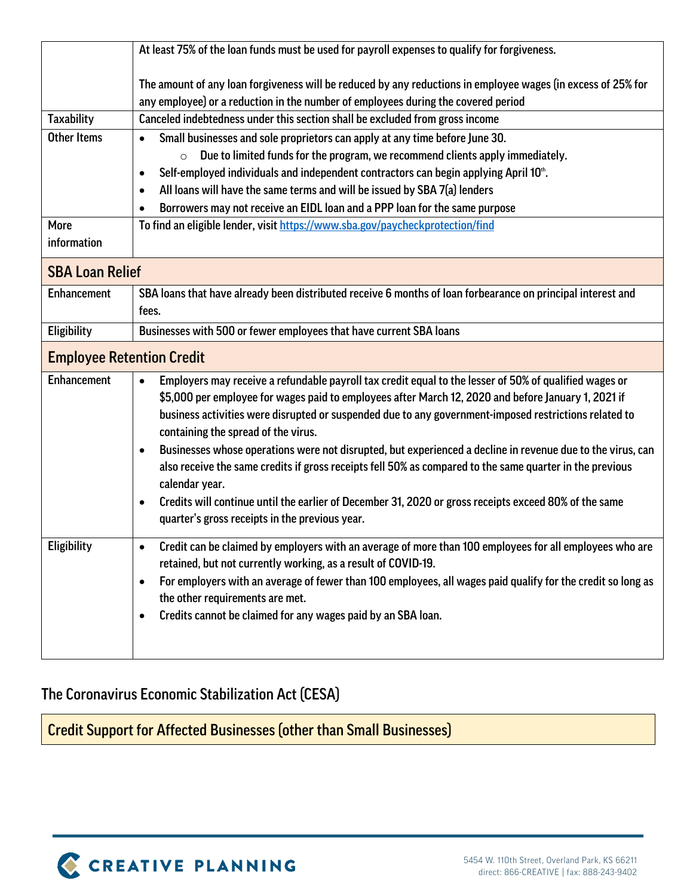|                                  | At least 75% of the loan funds must be used for payroll expenses to qualify for forgiveness.                                                                                                      |  |
|----------------------------------|---------------------------------------------------------------------------------------------------------------------------------------------------------------------------------------------------|--|
|                                  | The amount of any loan forgiveness will be reduced by any reductions in employee wages (in excess of 25% for<br>any employee) or a reduction in the number of employees during the covered period |  |
| <b>Taxability</b>                | Canceled indebtedness under this section shall be excluded from gross income                                                                                                                      |  |
| <b>Other Items</b>               | Small businesses and sole proprietors can apply at any time before June 30.<br>$\bullet$                                                                                                          |  |
|                                  | Due to limited funds for the program, we recommend clients apply immediately.                                                                                                                     |  |
|                                  | Self-employed individuals and independent contractors can begin applying April 10 <sup>th</sup> .<br>$\bullet$                                                                                    |  |
|                                  | All loans will have the same terms and will be issued by SBA 7(a) lenders<br>$\bullet$                                                                                                            |  |
|                                  | Borrowers may not receive an EIDL loan and a PPP loan for the same purpose                                                                                                                        |  |
| More                             | To find an eligible lender, visit https://www.sba.gov/paycheckprotection/find                                                                                                                     |  |
| information                      |                                                                                                                                                                                                   |  |
| <b>SBA Loan Relief</b>           |                                                                                                                                                                                                   |  |
| <b>Enhancement</b>               | SBA loans that have already been distributed receive 6 months of loan forbearance on principal interest and                                                                                       |  |
|                                  | fees.                                                                                                                                                                                             |  |
| Eligibility                      | Businesses with 500 or fewer employees that have current SBA loans                                                                                                                                |  |
| <b>Employee Retention Credit</b> |                                                                                                                                                                                                   |  |
| <b>Enhancement</b>               | Employers may receive a refundable payroll tax credit equal to the lesser of 50% of qualified wages or<br>$\bullet$                                                                               |  |
|                                  | \$5,000 per employee for wages paid to employees after March 12, 2020 and before January 1, 2021 if                                                                                               |  |
|                                  | business activities were disrupted or suspended due to any government-imposed restrictions related to<br>containing the spread of the virus.                                                      |  |
|                                  | Businesses whose operations were not disrupted, but experienced a decline in revenue due to the virus, can<br>$\bullet$                                                                           |  |
|                                  | also receive the same credits if gross receipts fell 50% as compared to the same quarter in the previous<br>calendar year.                                                                        |  |
|                                  | Credits will continue until the earlier of December 31, 2020 or gross receipts exceed 80% of the same<br>$\bullet$                                                                                |  |
|                                  | quarter's gross receipts in the previous year.                                                                                                                                                    |  |
| Eligibility                      | Credit can be claimed by employers with an average of more than 100 employees for all employees who are                                                                                           |  |
|                                  | retained, but not currently working, as a result of COVID-19.                                                                                                                                     |  |
|                                  | For employers with an average of fewer than 100 employees, all wages paid qualify for the credit so long as                                                                                       |  |
|                                  | the other requirements are met.                                                                                                                                                                   |  |
|                                  | Credits cannot be claimed for any wages paid by an SBA loan.                                                                                                                                      |  |
|                                  |                                                                                                                                                                                                   |  |
|                                  |                                                                                                                                                                                                   |  |

### The Coronavirus Economic Stabilization Act (CESA)

Credit Support for Affected Businesses (other than Small Businesses)

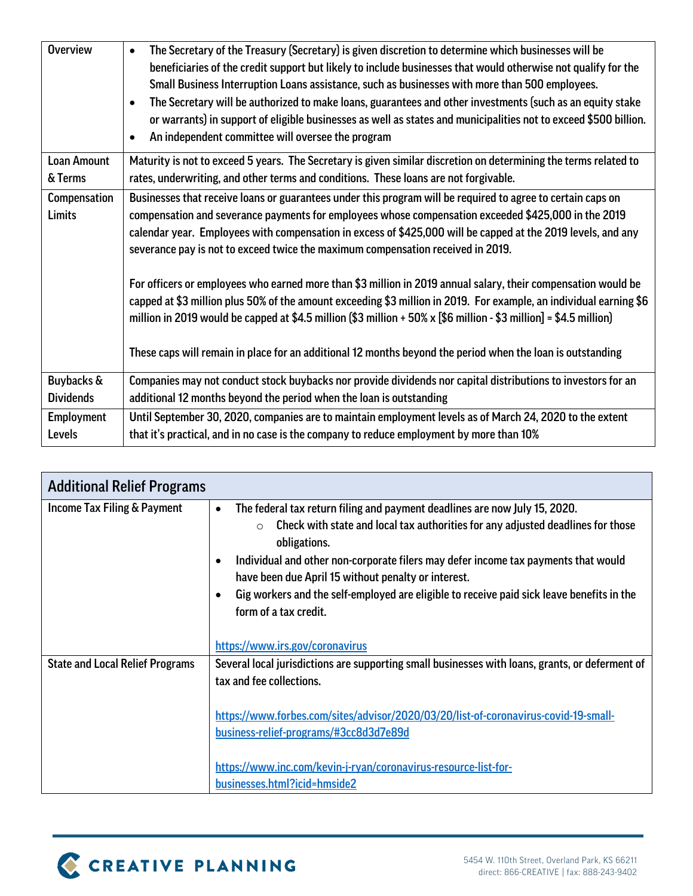| <b>Overview</b>                    | The Secretary of the Treasury (Secretary) is given discretion to determine which businesses will be<br>beneficiaries of the credit support but likely to include businesses that would otherwise not qualify for the<br>Small Business Interruption Loans assistance, such as businesses with more than 500 employees.<br>The Secretary will be authorized to make loans, guarantees and other investments (such as an equity stake<br>or warrants) in support of eligible businesses as well as states and municipalities not to exceed \$500 billion. |
|------------------------------------|---------------------------------------------------------------------------------------------------------------------------------------------------------------------------------------------------------------------------------------------------------------------------------------------------------------------------------------------------------------------------------------------------------------------------------------------------------------------------------------------------------------------------------------------------------|
|                                    | An independent committee will oversee the program<br>$\bullet$                                                                                                                                                                                                                                                                                                                                                                                                                                                                                          |
| <b>Loan Amount</b><br>& Terms      | Maturity is not to exceed 5 years. The Secretary is given similar discretion on determining the terms related to<br>rates, underwriting, and other terms and conditions. These loans are not forgivable.                                                                                                                                                                                                                                                                                                                                                |
| Compensation<br><b>Limits</b>      | Businesses that receive loans or guarantees under this program will be required to agree to certain caps on<br>compensation and severance payments for employees whose compensation exceeded \$425,000 in the 2019<br>calendar year. Employees with compensation in excess of \$425,000 will be capped at the 2019 levels, and any<br>severance pay is not to exceed twice the maximum compensation received in 2019.                                                                                                                                   |
|                                    | For officers or employees who earned more than \$3 million in 2019 annual salary, their compensation would be<br>capped at \$3 million plus 50% of the amount exceeding \$3 million in 2019. For example, an individual earning \$6<br>million in 2019 would be capped at \$4.5 million (\$3 million + 50% x [\$6 million - \$3 million] = \$4.5 million)<br>These caps will remain in place for an additional 12 months beyond the period when the loan is outstanding                                                                                 |
| Buybacks &                         | Companies may not conduct stock buybacks nor provide dividends nor capital distributions to investors for an                                                                                                                                                                                                                                                                                                                                                                                                                                            |
| <b>Dividends</b>                   | additional 12 months beyond the period when the loan is outstanding                                                                                                                                                                                                                                                                                                                                                                                                                                                                                     |
| <b>Employment</b><br><b>Levels</b> | Until September 30, 2020, companies are to maintain employment levels as of March 24, 2020 to the extent<br>that it's practical, and in no case is the company to reduce employment by more than 10%                                                                                                                                                                                                                                                                                                                                                    |

| The federal tax return filing and payment deadlines are now July 15, 2020.<br>$\bullet$<br>Check with state and local tax authorities for any adjusted deadlines for those<br>$\circ$<br>obligations.<br>Individual and other non-corporate filers may defer income tax payments that would<br>have been due April 15 without penalty or interest.<br>Gig workers and the self-employed are eligible to receive paid sick leave benefits in the<br>form of a tax credit. |
|--------------------------------------------------------------------------------------------------------------------------------------------------------------------------------------------------------------------------------------------------------------------------------------------------------------------------------------------------------------------------------------------------------------------------------------------------------------------------|
| https://www.irs.gov/coronavirus                                                                                                                                                                                                                                                                                                                                                                                                                                          |
| Several local jurisdictions are supporting small businesses with loans, grants, or deferment of<br>tax and fee collections.<br>https://www.forbes.com/sites/advisor/2020/03/20/list-of-coronavirus-covid-19-small-                                                                                                                                                                                                                                                       |
| business-relief-programs/#3cc8d3d7e89d<br>https://www.inc.com/kevin-j-ryan/coronavirus-resource-list-for-<br>businesses.html?icid=hmside2                                                                                                                                                                                                                                                                                                                                |
|                                                                                                                                                                                                                                                                                                                                                                                                                                                                          |